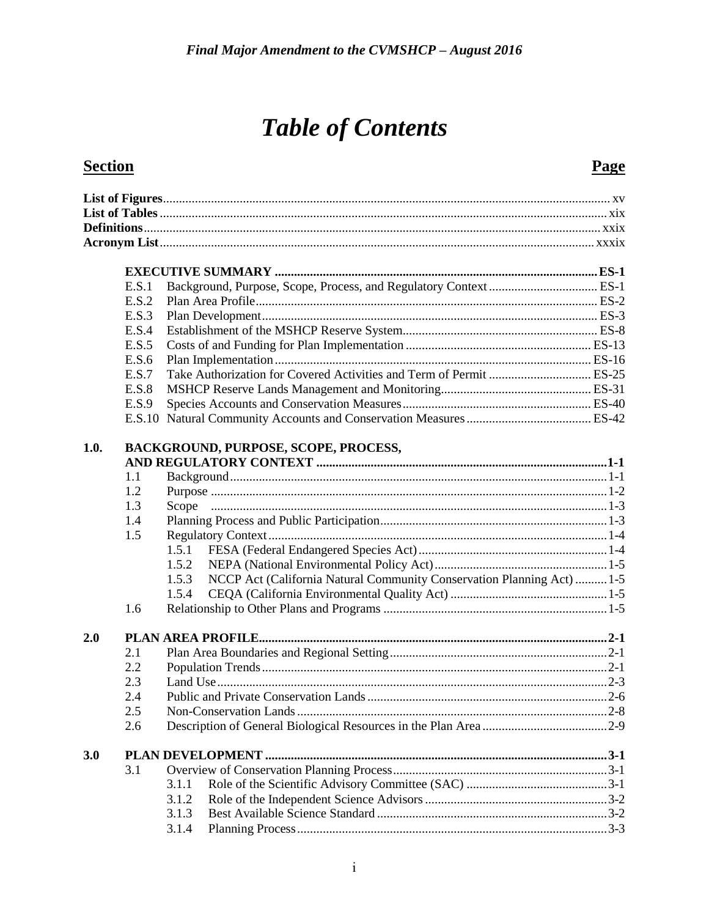# **Table of Contents**

### **Section**

### Page

|      | E.S.1 |                                                                                 |  |
|------|-------|---------------------------------------------------------------------------------|--|
|      | E.S.2 |                                                                                 |  |
|      | E.S.3 |                                                                                 |  |
|      | E.S.4 |                                                                                 |  |
|      | E.S.5 |                                                                                 |  |
|      | E.S.6 |                                                                                 |  |
|      | E.S.7 |                                                                                 |  |
|      | E.S.8 |                                                                                 |  |
|      | E.S.9 |                                                                                 |  |
|      |       |                                                                                 |  |
|      |       |                                                                                 |  |
| 1.0. |       | BACKGROUND, PURPOSE, SCOPE, PROCESS,                                            |  |
|      |       |                                                                                 |  |
|      | 1.1   |                                                                                 |  |
|      | 1.2   |                                                                                 |  |
|      | 1.3   |                                                                                 |  |
|      | 1.4   |                                                                                 |  |
|      | 1.5   |                                                                                 |  |
|      |       | 1.5.1                                                                           |  |
|      |       | 1.5.2                                                                           |  |
|      |       | 1.5.3<br>NCCP Act (California Natural Community Conservation Planning Act)  1-5 |  |
|      |       | 1.5.4                                                                           |  |
|      | 1.6   |                                                                                 |  |
| 2.0  |       |                                                                                 |  |
|      | 2.1   |                                                                                 |  |
|      | 2.2   |                                                                                 |  |
|      | 2.3   |                                                                                 |  |
|      | 2.4   |                                                                                 |  |
|      | 2.5   |                                                                                 |  |
|      | 2.6   |                                                                                 |  |
|      |       |                                                                                 |  |
| 3.0  |       |                                                                                 |  |
|      | 3.1   |                                                                                 |  |
|      |       | 3.1.1                                                                           |  |
|      |       | 3.1.2                                                                           |  |
|      |       | 3.1.3                                                                           |  |
|      |       | 3.1.4                                                                           |  |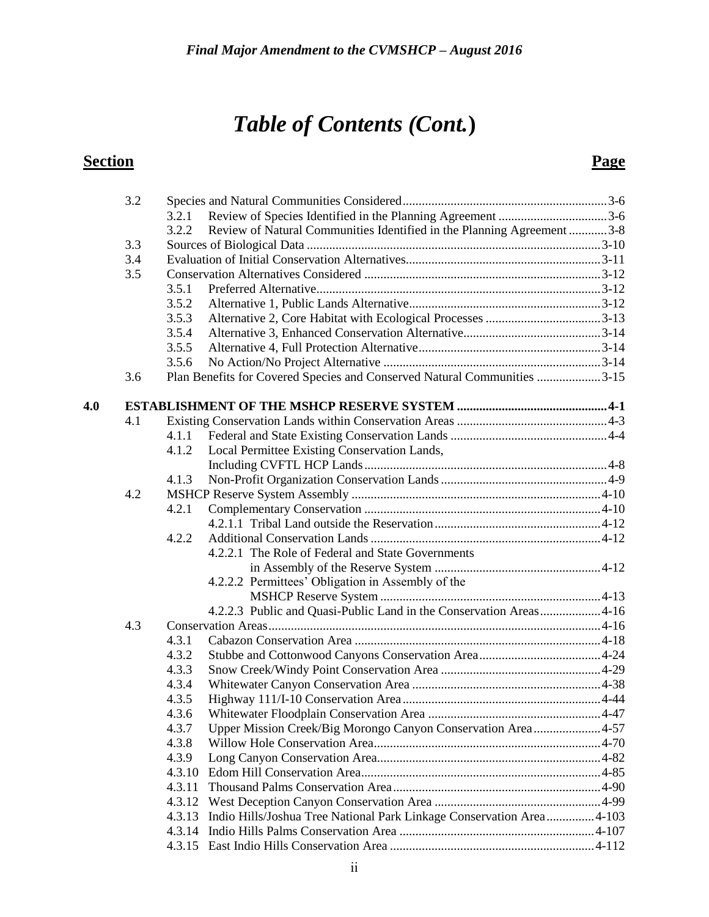|     | 3.2 |        |                                                                          |  |
|-----|-----|--------|--------------------------------------------------------------------------|--|
|     |     | 3.2.1  |                                                                          |  |
|     |     | 3.2.2  | Review of Natural Communities Identified in the Planning Agreement 3-8   |  |
|     | 3.3 |        |                                                                          |  |
|     | 3.4 |        |                                                                          |  |
|     | 3.5 |        |                                                                          |  |
|     |     | 3.5.1  |                                                                          |  |
|     |     | 3.5.2  |                                                                          |  |
|     |     | 3.5.3  |                                                                          |  |
|     |     | 3.5.4  |                                                                          |  |
|     |     | 3.5.5  |                                                                          |  |
|     |     | 3.5.6  |                                                                          |  |
|     | 3.6 |        | Plan Benefits for Covered Species and Conserved Natural Communities 3-15 |  |
| 4.0 |     |        |                                                                          |  |
|     | 4.1 |        |                                                                          |  |
|     |     | 4.1.1  |                                                                          |  |
|     |     | 4.1.2  | Local Permittee Existing Conservation Lands,                             |  |
|     |     |        |                                                                          |  |
|     |     | 4.1.3  |                                                                          |  |
|     | 4.2 |        |                                                                          |  |
|     |     | 4.2.1  |                                                                          |  |
|     |     |        |                                                                          |  |
|     |     | 4.2.2  |                                                                          |  |
|     |     |        | 4.2.2.1 The Role of Federal and State Governments                        |  |
|     |     |        |                                                                          |  |
|     |     |        | 4.2.2.2 Permittees' Obligation in Assembly of the                        |  |
|     |     |        |                                                                          |  |
|     |     |        | 4.2.2.3 Public and Quasi-Public Land in the Conservation Areas 4-16      |  |
|     | 4.3 |        |                                                                          |  |
|     |     | 4.3.1  |                                                                          |  |
|     |     | 4.3.2  |                                                                          |  |
|     |     | 4.3.3  |                                                                          |  |
|     |     | 4.3.4  |                                                                          |  |
|     |     | 4.3.5  |                                                                          |  |
|     |     | 4.3.6  |                                                                          |  |
|     |     | 4.3.7  | Upper Mission Creek/Big Morongo Canyon Conservation Area4-57             |  |
|     |     | 4.3.8  |                                                                          |  |
|     |     | 4.3.9  |                                                                          |  |
|     |     | 4.3.10 |                                                                          |  |
|     |     | 4.3.11 |                                                                          |  |
|     |     | 4.3.12 |                                                                          |  |
|     |     | 4.3.13 | Indio Hills/Joshua Tree National Park Linkage Conservation Area4-103     |  |
|     |     | 4.3.14 |                                                                          |  |
|     |     |        |                                                                          |  |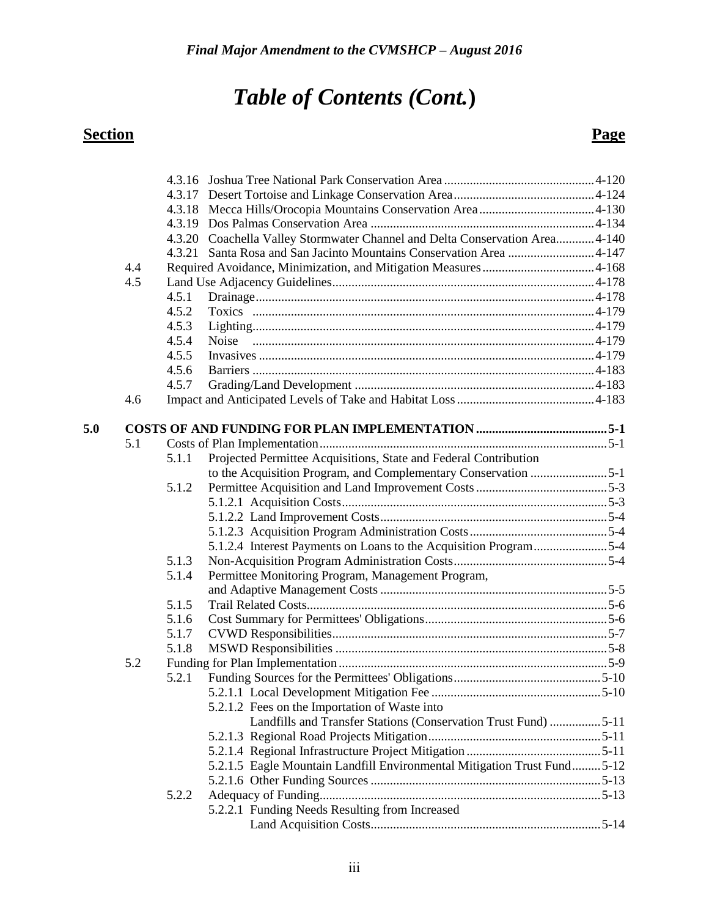|     |     |       | 4.3.20 Coachella Valley Stormwater Channel and Delta Conservation Area 4-140 |  |
|-----|-----|-------|------------------------------------------------------------------------------|--|
|     |     |       |                                                                              |  |
|     | 4.4 |       |                                                                              |  |
|     | 4.5 |       |                                                                              |  |
|     |     | 4.5.1 |                                                                              |  |
|     |     | 4.5.2 |                                                                              |  |
|     |     | 4.5.3 |                                                                              |  |
|     |     | 4.5.4 |                                                                              |  |
|     |     | 4.5.5 |                                                                              |  |
|     |     | 4.5.6 |                                                                              |  |
|     |     | 4.5.7 |                                                                              |  |
|     | 4.6 |       |                                                                              |  |
| 5.0 |     |       |                                                                              |  |
|     | 5.1 |       |                                                                              |  |
|     |     | 5.1.1 | Projected Permittee Acquisitions, State and Federal Contribution             |  |
|     |     |       | to the Acquisition Program, and Complementary Conservation 5-1               |  |
|     |     | 5.1.2 |                                                                              |  |
|     |     |       |                                                                              |  |
|     |     |       |                                                                              |  |
|     |     |       |                                                                              |  |
|     |     |       | 5.1.2.4 Interest Payments on Loans to the Acquisition Program5-4             |  |
|     |     | 5.1.3 |                                                                              |  |
|     |     | 5.1.4 | Permittee Monitoring Program, Management Program,                            |  |
|     |     |       |                                                                              |  |
|     |     | 5.1.5 |                                                                              |  |
|     |     | 5.1.6 |                                                                              |  |
|     |     | 5.1.7 |                                                                              |  |
|     |     | 5.1.8 |                                                                              |  |
|     | 5.2 |       |                                                                              |  |
|     |     | 5.2.1 |                                                                              |  |
|     |     |       |                                                                              |  |
|     |     |       | 5.2.1.2 Fees on the Importation of Waste into                                |  |
|     |     |       | Landfills and Transfer Stations (Conservation Trust Fund) 5-11               |  |
|     |     |       |                                                                              |  |
|     |     |       |                                                                              |  |
|     |     |       | 5.2.1.5 Eagle Mountain Landfill Environmental Mitigation Trust Fund5-12      |  |
|     |     |       |                                                                              |  |
|     |     | 5.2.2 |                                                                              |  |
|     |     |       | 5.2.2.1 Funding Needs Resulting from Increased                               |  |
|     |     |       |                                                                              |  |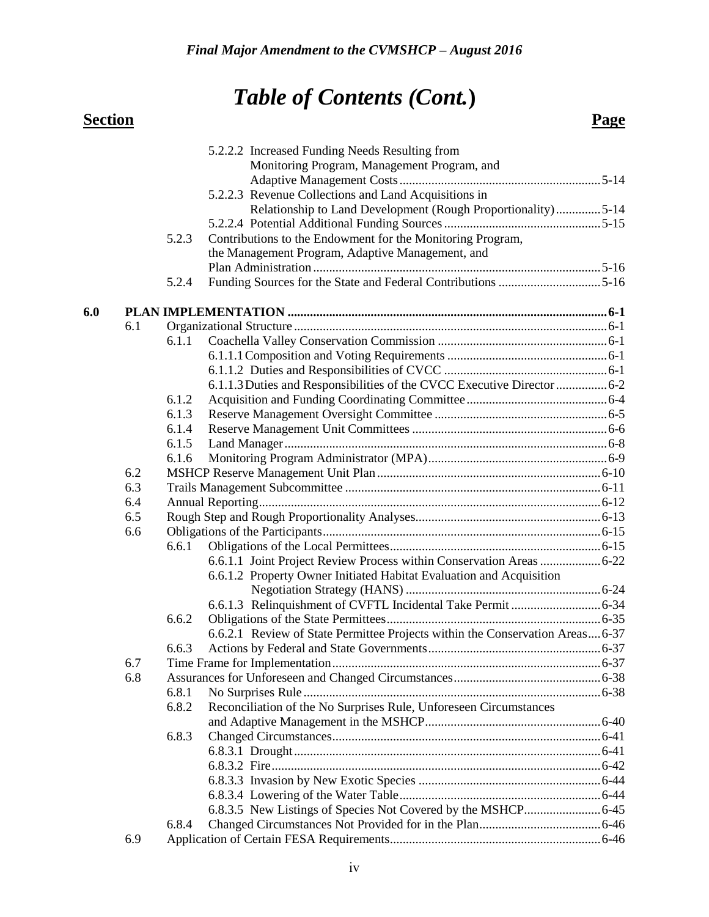|     |     |       | 5.2.2.2 Increased Funding Needs Resulting from                               |  |
|-----|-----|-------|------------------------------------------------------------------------------|--|
|     |     |       | Monitoring Program, Management Program, and                                  |  |
|     |     |       |                                                                              |  |
|     |     |       | 5.2.2.3 Revenue Collections and Land Acquisitions in                         |  |
|     |     |       | Relationship to Land Development (Rough Proportionality)5-14                 |  |
|     |     |       |                                                                              |  |
|     |     | 5.2.3 | Contributions to the Endowment for the Monitoring Program,                   |  |
|     |     |       | the Management Program, Adaptive Management, and                             |  |
|     |     |       |                                                                              |  |
|     |     | 5.2.4 | Funding Sources for the State and Federal Contributions 5-16                 |  |
| 6.0 |     |       |                                                                              |  |
|     | 6.1 |       |                                                                              |  |
|     |     | 6.1.1 |                                                                              |  |
|     |     |       |                                                                              |  |
|     |     |       |                                                                              |  |
|     |     |       | 6.1.1.3 Duties and Responsibilities of the CVCC Executive Director  6-2      |  |
|     |     | 6.1.2 |                                                                              |  |
|     |     | 6.1.3 |                                                                              |  |
|     |     | 6.1.4 |                                                                              |  |
|     |     | 6.1.5 |                                                                              |  |
|     |     | 6.1.6 |                                                                              |  |
|     | 6.2 |       |                                                                              |  |
|     | 6.3 |       |                                                                              |  |
|     | 6.4 |       |                                                                              |  |
|     | 6.5 |       |                                                                              |  |
|     | 6.6 |       |                                                                              |  |
|     |     | 6.6.1 |                                                                              |  |
|     |     |       | 6.6.1.1 Joint Project Review Process within Conservation Areas  6-22         |  |
|     |     |       | 6.6.1.2 Property Owner Initiated Habitat Evaluation and Acquisition          |  |
|     |     |       |                                                                              |  |
|     |     |       |                                                                              |  |
|     |     | 6.6.2 |                                                                              |  |
|     |     |       | 6.6.2.1 Review of State Permittee Projects within the Conservation Areas6-37 |  |
|     |     | 6.6.3 |                                                                              |  |
|     | 6.7 |       |                                                                              |  |
|     | 6.8 |       |                                                                              |  |
|     |     | 6.8.1 |                                                                              |  |
|     |     | 6.8.2 | Reconciliation of the No Surprises Rule, Unforeseen Circumstances            |  |
|     |     |       |                                                                              |  |
|     |     | 6.8.3 |                                                                              |  |
|     |     |       |                                                                              |  |
|     |     |       |                                                                              |  |
|     |     |       |                                                                              |  |
|     |     |       |                                                                              |  |
|     |     |       |                                                                              |  |
|     |     | 6.8.4 |                                                                              |  |
|     | 6.9 |       |                                                                              |  |
|     |     |       |                                                                              |  |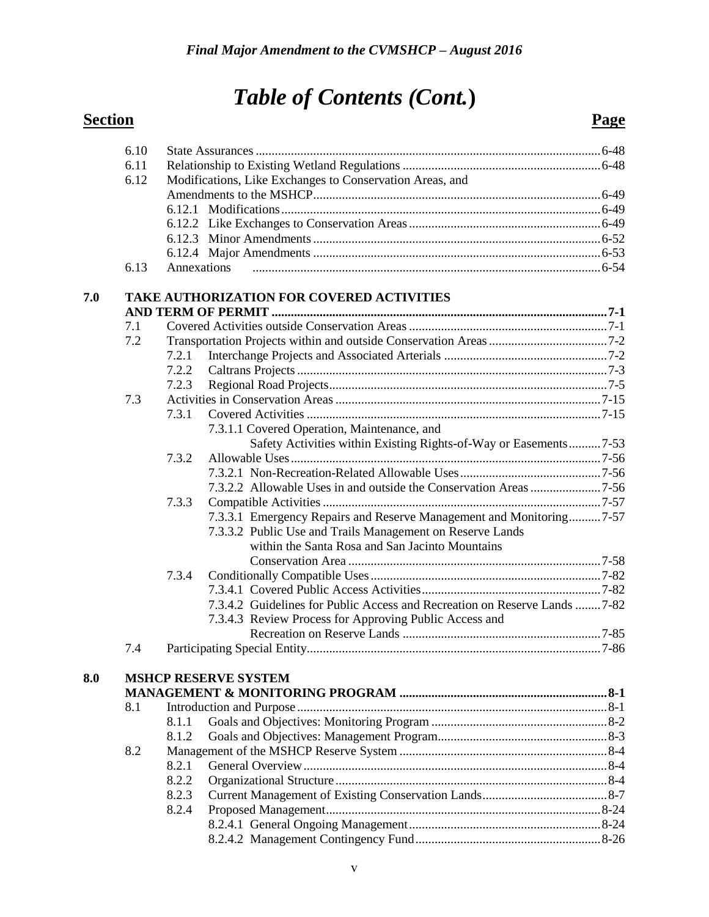|     | 6.10 |             |                                                                            |  |
|-----|------|-------------|----------------------------------------------------------------------------|--|
|     | 6.11 |             |                                                                            |  |
|     | 6.12 |             | Modifications, Like Exchanges to Conservation Areas, and                   |  |
|     |      |             |                                                                            |  |
|     |      |             |                                                                            |  |
|     |      |             |                                                                            |  |
|     |      |             |                                                                            |  |
|     |      |             |                                                                            |  |
|     | 6.13 | Annexations |                                                                            |  |
| 7.0 |      |             | TAKE AUTHORIZATION FOR COVERED ACTIVITIES                                  |  |
|     | 7.1  |             |                                                                            |  |
|     | 7.2  |             |                                                                            |  |
|     |      | 7.2.1       |                                                                            |  |
|     |      | 7.2.2       |                                                                            |  |
|     |      | 7.2.3       |                                                                            |  |
|     | 7.3  |             |                                                                            |  |
|     |      | 7.3.1       |                                                                            |  |
|     |      |             | 7.3.1.1 Covered Operation, Maintenance, and                                |  |
|     |      |             | Safety Activities within Existing Rights-of-Way or Easements7-53           |  |
|     |      | 7.3.2       |                                                                            |  |
|     |      |             |                                                                            |  |
|     |      |             | 7.3.2.2 Allowable Uses in and outside the Conservation Areas 7-56          |  |
|     |      | 7.3.3       |                                                                            |  |
|     |      |             | 7.3.3.1 Emergency Repairs and Reserve Management and Monitoring7-57        |  |
|     |      |             | 7.3.3.2 Public Use and Trails Management on Reserve Lands                  |  |
|     |      |             | within the Santa Rosa and San Jacinto Mountains                            |  |
|     |      |             |                                                                            |  |
|     |      | 7.3.4       |                                                                            |  |
|     |      |             |                                                                            |  |
|     |      |             | 7.3.4.2 Guidelines for Public Access and Recreation on Reserve Lands  7-82 |  |
|     |      |             | 7.3.4.3 Review Process for Approving Public Access and                     |  |
|     |      |             |                                                                            |  |
|     | 7.4  |             |                                                                            |  |
|     |      |             |                                                                            |  |
| 8.0 |      |             | <b>MSHCP RESERVE SYSTEM</b>                                                |  |
|     |      |             |                                                                            |  |
|     | 8.1  |             |                                                                            |  |
|     |      | 8.1.1       |                                                                            |  |
|     |      | 8.1.2       |                                                                            |  |
|     | 8.2  |             |                                                                            |  |
|     |      | 8.2.1       |                                                                            |  |
|     |      | 8.2.2       |                                                                            |  |
|     |      | 8.2.3       |                                                                            |  |
|     |      | 8.2.4       |                                                                            |  |
|     |      |             |                                                                            |  |
|     |      |             |                                                                            |  |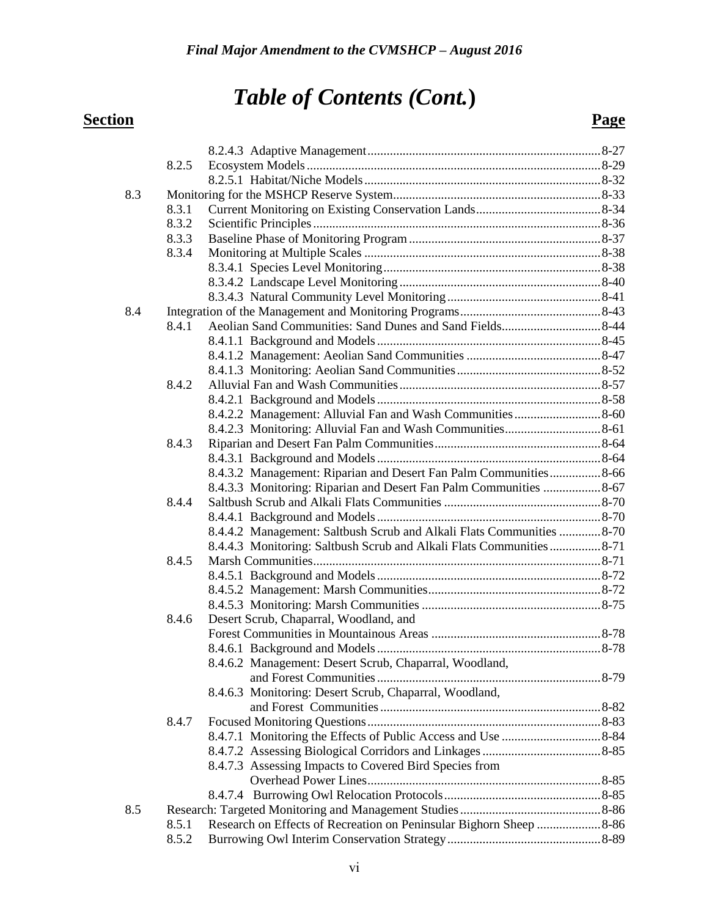## *Table of Contents (Cont.***) Section Page**

|     | 8.2.5 |                                                                       |  |
|-----|-------|-----------------------------------------------------------------------|--|
|     |       |                                                                       |  |
| 8.3 |       |                                                                       |  |
|     | 8.3.1 |                                                                       |  |
|     | 8.3.2 |                                                                       |  |
|     | 8.3.3 |                                                                       |  |
|     | 8.3.4 |                                                                       |  |
|     |       |                                                                       |  |
|     |       |                                                                       |  |
|     |       |                                                                       |  |
| 8.4 |       |                                                                       |  |
|     | 8.4.1 |                                                                       |  |
|     |       |                                                                       |  |
|     |       |                                                                       |  |
|     |       |                                                                       |  |
|     | 8.4.2 |                                                                       |  |
|     |       |                                                                       |  |
|     |       |                                                                       |  |
|     |       |                                                                       |  |
|     | 8.4.3 |                                                                       |  |
|     |       |                                                                       |  |
|     |       | 8.4.3.2 Management: Riparian and Desert Fan Palm Communities8-66      |  |
|     |       | 8.4.3.3 Monitoring: Riparian and Desert Fan Palm Communities  8-67    |  |
|     | 8.4.4 |                                                                       |  |
|     |       |                                                                       |  |
|     |       | 8.4.4.2 Management: Saltbush Scrub and Alkali Flats Communities 8-70  |  |
|     |       | 8.4.4.3 Monitoring: Saltbush Scrub and Alkali Flats Communities  8-71 |  |
|     | 8.4.5 |                                                                       |  |
|     |       |                                                                       |  |
|     |       |                                                                       |  |
|     |       |                                                                       |  |
|     | 8.4.6 | Desert Scrub, Chaparral, Woodland, and                                |  |
|     |       |                                                                       |  |
|     |       |                                                                       |  |
|     |       | 8.4.6.2 Management: Desert Scrub, Chaparral, Woodland,                |  |
|     |       |                                                                       |  |
|     |       | 8.4.6.3 Monitoring: Desert Scrub, Chaparral, Woodland,                |  |
|     |       |                                                                       |  |
|     | 8.4.7 |                                                                       |  |
|     |       |                                                                       |  |
|     |       |                                                                       |  |
|     |       | 8.4.7.3 Assessing Impacts to Covered Bird Species from                |  |
|     |       |                                                                       |  |
|     |       |                                                                       |  |
| 8.5 |       |                                                                       |  |
|     | 8.5.1 | Research on Effects of Recreation on Peninsular Bighorn Sheep  8-86   |  |
|     | 8.5.2 |                                                                       |  |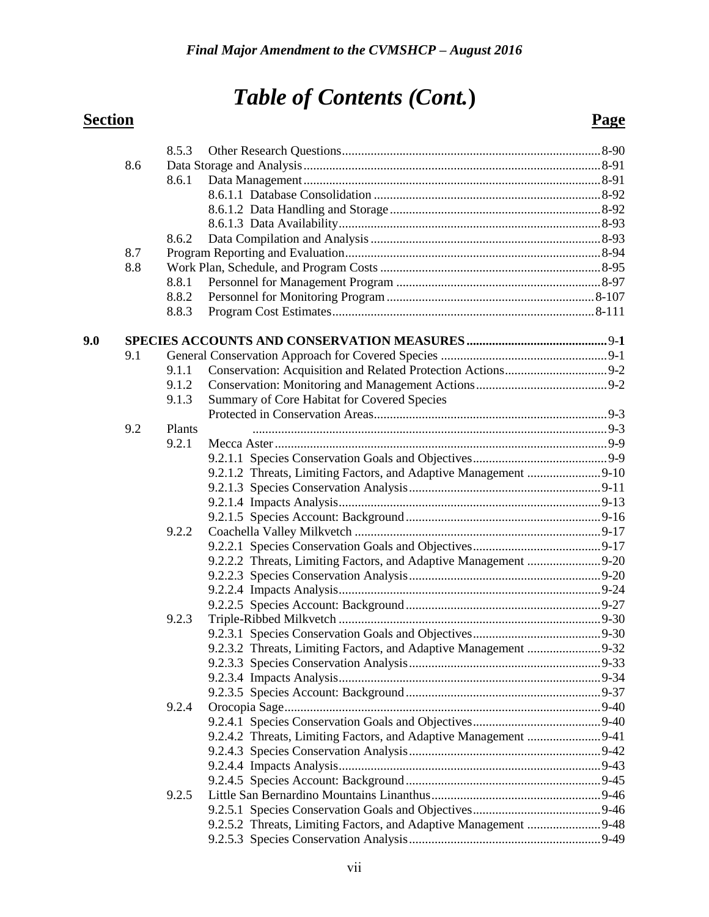|     |     | 8.5.3  |                                             |  |
|-----|-----|--------|---------------------------------------------|--|
|     | 8.6 |        |                                             |  |
|     |     | 8.6.1  |                                             |  |
|     |     |        |                                             |  |
|     |     |        |                                             |  |
|     |     |        |                                             |  |
|     |     | 8.6.2  |                                             |  |
|     | 8.7 |        |                                             |  |
|     | 8.8 |        |                                             |  |
|     |     | 8.8.1  |                                             |  |
|     |     | 8.8.2  |                                             |  |
|     |     | 8.8.3  |                                             |  |
| 9.0 |     |        |                                             |  |
|     | 9.1 |        |                                             |  |
|     |     | 9.1.1  |                                             |  |
|     |     | 9.1.2  |                                             |  |
|     |     | 9.1.3  | Summary of Core Habitat for Covered Species |  |
|     |     |        |                                             |  |
|     | 9.2 | Plants |                                             |  |
|     |     | 9.2.1  |                                             |  |
|     |     |        |                                             |  |
|     |     |        |                                             |  |
|     |     |        |                                             |  |
|     |     |        |                                             |  |
|     |     |        |                                             |  |
|     |     | 9.2.2  |                                             |  |
|     |     |        |                                             |  |
|     |     |        |                                             |  |
|     |     |        |                                             |  |
|     |     |        |                                             |  |
|     |     |        |                                             |  |
|     |     | 9.2.3  |                                             |  |
|     |     |        |                                             |  |
|     |     |        |                                             |  |
|     |     |        |                                             |  |
|     |     |        |                                             |  |
|     |     |        |                                             |  |
|     |     | 9.2.4  |                                             |  |
|     |     |        |                                             |  |
|     |     |        |                                             |  |
|     |     |        |                                             |  |
|     |     |        |                                             |  |
|     |     |        |                                             |  |
|     |     | 9.2.5  |                                             |  |
|     |     |        |                                             |  |
|     |     |        |                                             |  |
|     |     |        |                                             |  |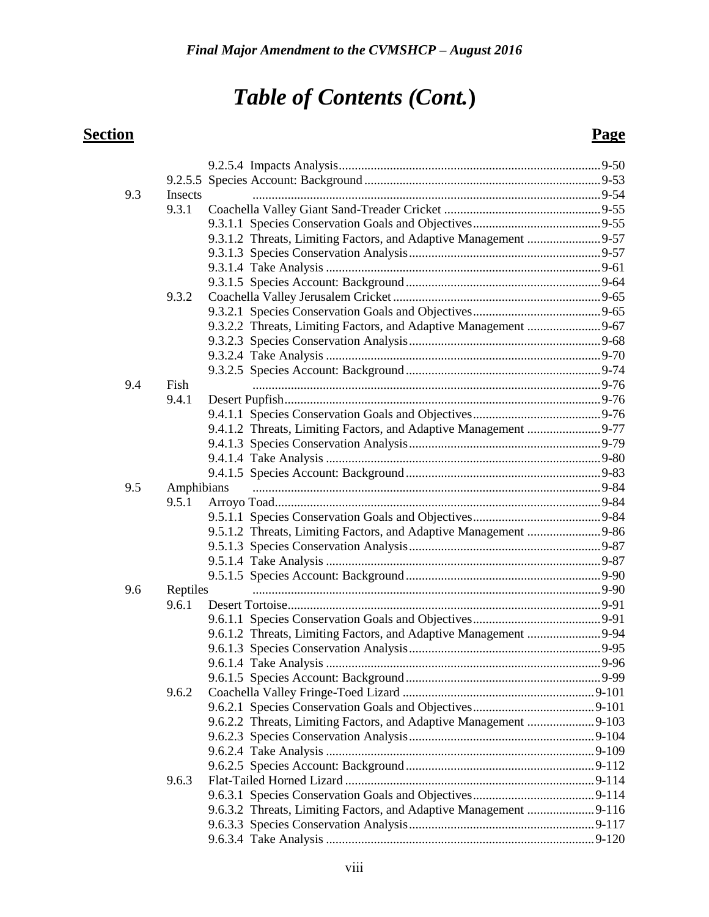| 9.3 | Insects             |                                                                  |  |
|-----|---------------------|------------------------------------------------------------------|--|
|     | 9.3.1               |                                                                  |  |
|     |                     |                                                                  |  |
|     |                     | 9.3.1.2 Threats, Limiting Factors, and Adaptive Management 9-57  |  |
|     |                     |                                                                  |  |
|     |                     |                                                                  |  |
|     |                     |                                                                  |  |
|     | 9.3.2               |                                                                  |  |
|     |                     |                                                                  |  |
|     |                     | 9.3.2.2 Threats, Limiting Factors, and Adaptive Management 9-67  |  |
|     |                     |                                                                  |  |
|     |                     |                                                                  |  |
|     |                     |                                                                  |  |
| 9.4 | Fish                |                                                                  |  |
|     | 9.4.1               |                                                                  |  |
|     |                     |                                                                  |  |
|     |                     | 9.4.1.2 Threats, Limiting Factors, and Adaptive Management 9-77  |  |
|     |                     |                                                                  |  |
|     |                     |                                                                  |  |
|     |                     |                                                                  |  |
| 9.5 |                     |                                                                  |  |
|     | Amphibians<br>9.5.1 |                                                                  |  |
|     |                     |                                                                  |  |
|     |                     |                                                                  |  |
|     |                     |                                                                  |  |
|     |                     |                                                                  |  |
|     |                     |                                                                  |  |
| 9.6 |                     |                                                                  |  |
|     | Reptiles<br>9.6.1   |                                                                  |  |
|     |                     |                                                                  |  |
|     |                     |                                                                  |  |
|     |                     |                                                                  |  |
|     |                     |                                                                  |  |
|     |                     |                                                                  |  |
|     |                     |                                                                  |  |
|     | 9.6.2               |                                                                  |  |
|     |                     |                                                                  |  |
|     |                     |                                                                  |  |
|     |                     |                                                                  |  |
|     |                     |                                                                  |  |
|     |                     |                                                                  |  |
|     | 9.6.3               |                                                                  |  |
|     |                     |                                                                  |  |
|     |                     | 9.6.3.2 Threats, Limiting Factors, and Adaptive Management 9-116 |  |
|     |                     |                                                                  |  |
|     |                     |                                                                  |  |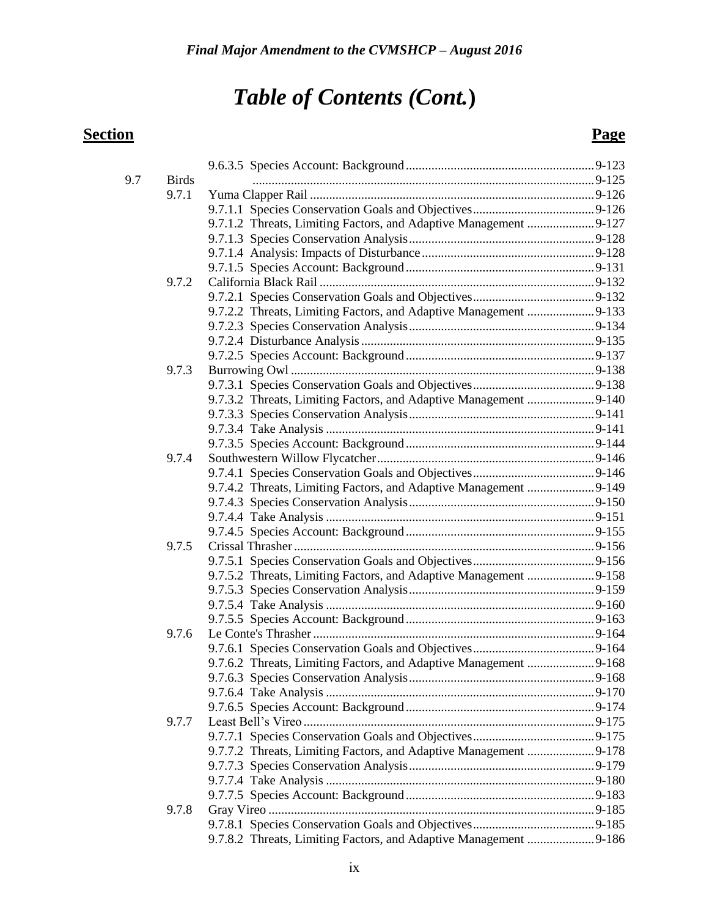| 9.7 | <b>Birds</b> |                                                                  |  |
|-----|--------------|------------------------------------------------------------------|--|
|     | 9.7.1        |                                                                  |  |
|     |              |                                                                  |  |
|     |              | 9.7.1.2 Threats, Limiting Factors, and Adaptive Management 9-127 |  |
|     |              |                                                                  |  |
|     |              |                                                                  |  |
|     | 9.7.2        |                                                                  |  |
|     |              |                                                                  |  |
|     |              | 9.7.2.2 Threats, Limiting Factors, and Adaptive Management 9-133 |  |
|     |              |                                                                  |  |
|     |              |                                                                  |  |
|     |              |                                                                  |  |
|     | 9.7.3        |                                                                  |  |
|     |              |                                                                  |  |
|     |              | 9.7.3.2 Threats, Limiting Factors, and Adaptive Management 9-140 |  |
|     |              |                                                                  |  |
|     |              |                                                                  |  |
|     |              |                                                                  |  |
|     | 9.7.4        |                                                                  |  |
|     |              |                                                                  |  |
|     |              | 9.7.4.2 Threats, Limiting Factors, and Adaptive Management 9-149 |  |
|     |              |                                                                  |  |
|     |              |                                                                  |  |
|     |              |                                                                  |  |
|     | 9.7.5        |                                                                  |  |
|     |              |                                                                  |  |
|     |              | 9.7.5.2 Threats, Limiting Factors, and Adaptive Management 9-158 |  |
|     |              |                                                                  |  |
|     |              |                                                                  |  |
|     |              |                                                                  |  |
|     | 9.7.6        |                                                                  |  |
|     |              |                                                                  |  |
|     |              | 9.7.6.2 Threats, Limiting Factors, and Adaptive Management 9-168 |  |
|     |              |                                                                  |  |
|     |              |                                                                  |  |
|     | 9.7.7        |                                                                  |  |
|     |              |                                                                  |  |
|     |              | 9.7.7.2 Threats, Limiting Factors, and Adaptive Management 9-178 |  |
|     |              |                                                                  |  |
|     |              |                                                                  |  |
|     |              |                                                                  |  |
|     | 9.7.8        |                                                                  |  |
|     |              |                                                                  |  |
|     |              | 9.7.8.2 Threats, Limiting Factors, and Adaptive Management 9-186 |  |
|     |              |                                                                  |  |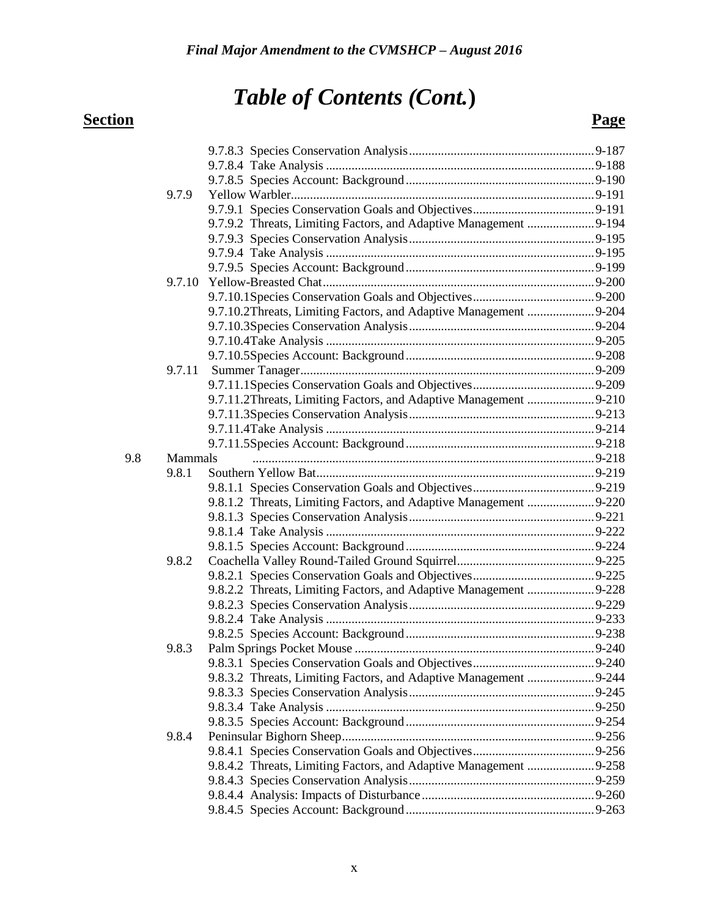## *Table of Contents (Cont.***) Section Page**

|     | 9.7.9          |                                                                   |  |
|-----|----------------|-------------------------------------------------------------------|--|
|     |                |                                                                   |  |
|     |                | 9.7.9.2 Threats, Limiting Factors, and Adaptive Management 9-194  |  |
|     |                |                                                                   |  |
|     |                |                                                                   |  |
|     |                |                                                                   |  |
|     |                |                                                                   |  |
|     |                |                                                                   |  |
|     |                | 9.7.10.2Threats, Limiting Factors, and Adaptive Management  9-204 |  |
|     |                |                                                                   |  |
|     |                |                                                                   |  |
|     |                |                                                                   |  |
|     | 9.7.11         |                                                                   |  |
|     |                |                                                                   |  |
|     |                | 9.7.11.2Threats, Limiting Factors, and Adaptive Management 9-210  |  |
|     |                |                                                                   |  |
|     |                |                                                                   |  |
|     |                |                                                                   |  |
| 9.8 | <b>Mammals</b> |                                                                   |  |
|     | 9.8.1          |                                                                   |  |
|     |                |                                                                   |  |
|     |                | 9.8.1.2 Threats, Limiting Factors, and Adaptive Management 9-220  |  |
|     |                |                                                                   |  |
|     |                |                                                                   |  |
|     |                |                                                                   |  |
|     | 9.8.2          |                                                                   |  |
|     |                |                                                                   |  |
|     |                | 9.8.2.2 Threats, Limiting Factors, and Adaptive Management 9-228  |  |
|     |                |                                                                   |  |
|     |                |                                                                   |  |
|     |                |                                                                   |  |
|     | 9.8.3          |                                                                   |  |
|     |                |                                                                   |  |
|     |                | 9.8.3.2 Threats, Limiting Factors, and Adaptive Management 9-244  |  |
|     |                |                                                                   |  |
|     |                |                                                                   |  |
|     |                |                                                                   |  |
|     | 9.8.4          |                                                                   |  |
|     |                |                                                                   |  |
|     |                |                                                                   |  |
|     |                |                                                                   |  |
|     |                |                                                                   |  |
|     |                |                                                                   |  |
|     |                |                                                                   |  |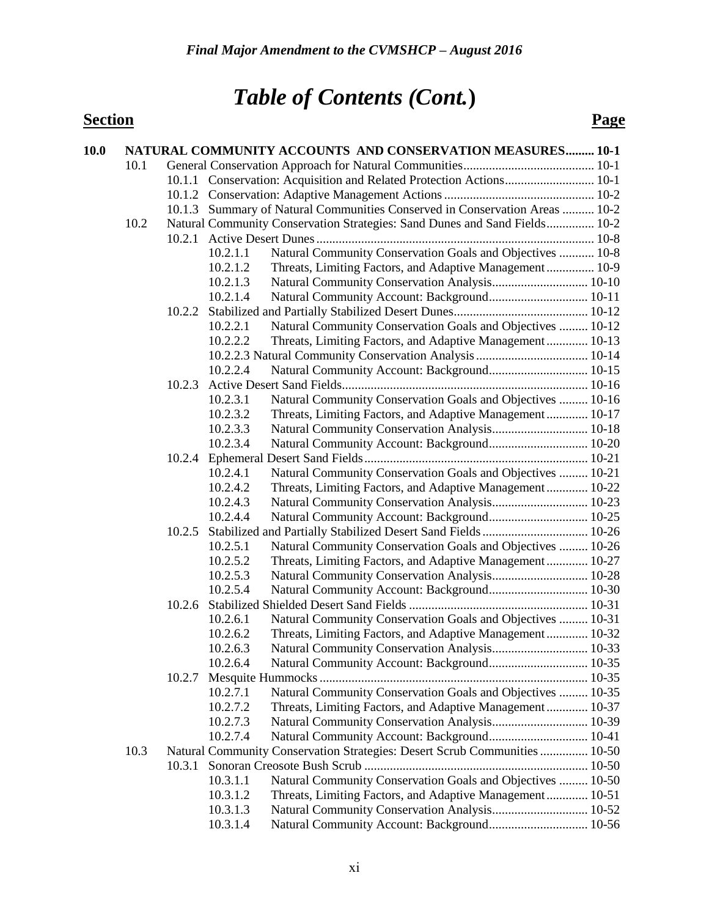| 10.0 |      |        |                      | <b>NATURAL COMMUNITY ACCOUNTS AND CONSERVATION MEASURES 10-1</b>                             |  |
|------|------|--------|----------------------|----------------------------------------------------------------------------------------------|--|
|      | 10.1 |        |                      |                                                                                              |  |
|      |      |        |                      |                                                                                              |  |
|      |      |        |                      |                                                                                              |  |
|      |      |        |                      | 10.1.3 Summary of Natural Communities Conserved in Conservation Areas  10-2                  |  |
|      | 10.2 |        |                      | Natural Community Conservation Strategies: Sand Dunes and Sand Fields 10-2                   |  |
|      |      |        |                      |                                                                                              |  |
|      |      |        | 10.2.1.1             | Natural Community Conservation Goals and Objectives  10-8                                    |  |
|      |      |        | 10.2.1.2             | Threats, Limiting Factors, and Adaptive Management 10-9                                      |  |
|      |      |        | 10.2.1.3             | Natural Community Conservation Analysis 10-10                                                |  |
|      |      |        | 10.2.1.4             | Natural Community Account: Background 10-11                                                  |  |
|      |      |        |                      |                                                                                              |  |
|      |      |        | 10.2.2.1             | Natural Community Conservation Goals and Objectives  10-12                                   |  |
|      |      |        | 10.2.2.2             | Threats, Limiting Factors, and Adaptive Management 10-13                                     |  |
|      |      |        |                      |                                                                                              |  |
|      |      |        | 10.2.2.4             |                                                                                              |  |
|      |      |        |                      |                                                                                              |  |
|      |      |        | 10.2.3.1             | Natural Community Conservation Goals and Objectives  10-16                                   |  |
|      |      |        | 10.2.3.2             | Threats, Limiting Factors, and Adaptive Management 10-17                                     |  |
|      |      |        | 10.2.3.3             | Natural Community Conservation Analysis 10-18                                                |  |
|      |      |        | 10.2.3.4             | Natural Community Account: Background 10-20                                                  |  |
|      |      |        |                      |                                                                                              |  |
|      |      |        | 10.2.4.1             | Natural Community Conservation Goals and Objectives  10-21                                   |  |
|      |      |        | 10.2.4.2             | Threats, Limiting Factors, and Adaptive Management 10-22                                     |  |
|      |      |        | 10.2.4.3             | Natural Community Conservation Analysis 10-23                                                |  |
|      |      |        | 10.2.4.4             |                                                                                              |  |
|      |      |        |                      |                                                                                              |  |
|      |      |        | 10.2.5.1<br>10.2.5.2 | Natural Community Conservation Goals and Objectives  10-26                                   |  |
|      |      |        | 10.2.5.3             | Threats, Limiting Factors, and Adaptive Management 10-27                                     |  |
|      |      |        | 10.2.5.4             | Natural Community Conservation Analysis 10-28<br>Natural Community Account: Background 10-30 |  |
|      |      | 10.2.6 |                      |                                                                                              |  |
|      |      |        | 10.2.6.1             | Natural Community Conservation Goals and Objectives  10-31                                   |  |
|      |      |        | 10.2.6.2             | Threats, Limiting Factors, and Adaptive Management 10-32                                     |  |
|      |      |        | 10.2.6.3             | Natural Community Conservation Analysis 10-33                                                |  |
|      |      |        | 10.2.6.4             | Natural Community Account: Background 10-35                                                  |  |
|      |      | 10.2.7 |                      |                                                                                              |  |
|      |      |        | 10.2.7.1             | Natural Community Conservation Goals and Objectives  10-35                                   |  |
|      |      |        | 10.2.7.2             | Threats, Limiting Factors, and Adaptive Management 10-37                                     |  |
|      |      |        | 10.2.7.3             | Natural Community Conservation Analysis 10-39                                                |  |
|      |      |        | 10.2.7.4             | Natural Community Account: Background 10-41                                                  |  |
|      | 10.3 |        |                      | Natural Community Conservation Strategies: Desert Scrub Communities  10-50                   |  |
|      |      |        |                      |                                                                                              |  |
|      |      |        | 10.3.1.1             | Natural Community Conservation Goals and Objectives  10-50                                   |  |
|      |      |        | 10.3.1.2             | Threats, Limiting Factors, and Adaptive Management 10-51                                     |  |
|      |      |        | 10.3.1.3             | Natural Community Conservation Analysis 10-52                                                |  |
|      |      |        | 10.3.1.4             | Natural Community Account: Background 10-56                                                  |  |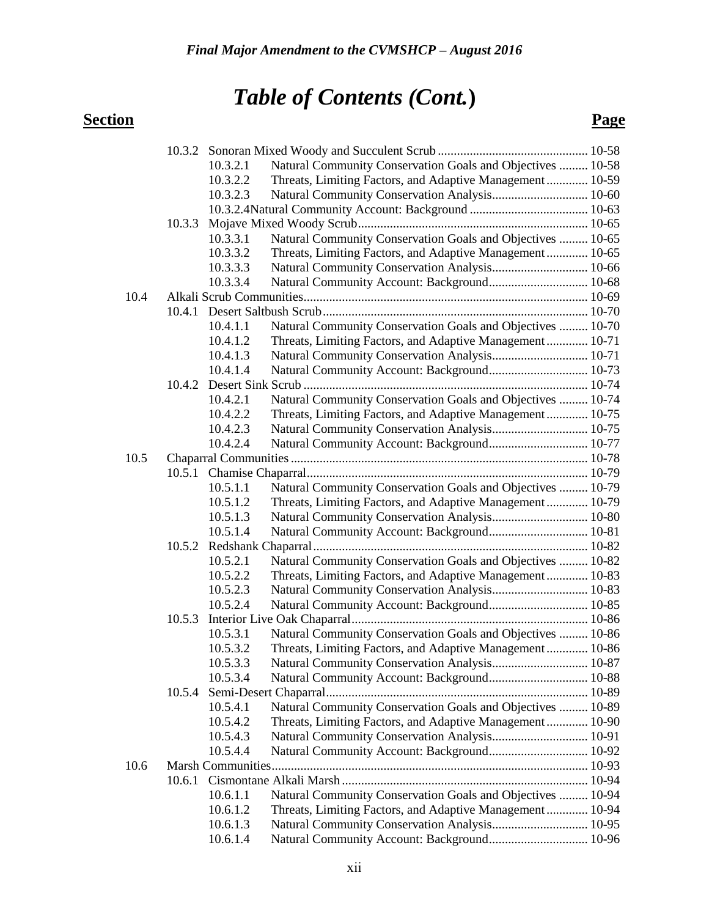|      |        | 10.3.2.1             | Natural Community Conservation Goals and Objectives  10-58 |  |
|------|--------|----------------------|------------------------------------------------------------|--|
|      |        | 10.3.2.2             | Threats, Limiting Factors, and Adaptive Management 10-59   |  |
|      |        | 10.3.2.3             | Natural Community Conservation Analysis 10-60              |  |
|      |        |                      |                                                            |  |
|      | 10.3.3 |                      |                                                            |  |
|      |        | 10.3.3.1             | Natural Community Conservation Goals and Objectives  10-65 |  |
|      |        | 10.3.3.2             | Threats, Limiting Factors, and Adaptive Management 10-65   |  |
|      |        | 10.3.3.3             | Natural Community Conservation Analysis 10-66              |  |
|      |        | 10.3.3.4             | Natural Community Account: Background 10-68                |  |
| 10.4 |        |                      |                                                            |  |
|      |        |                      |                                                            |  |
|      |        | 10.4.1.1             | Natural Community Conservation Goals and Objectives  10-70 |  |
|      |        | 10.4.1.2             | Threats, Limiting Factors, and Adaptive Management 10-71   |  |
|      |        | 10.4.1.3             | Natural Community Conservation Analysis 10-71              |  |
|      |        | 10.4.1.4             |                                                            |  |
|      |        |                      |                                                            |  |
|      |        | 10.4.2.1             | Natural Community Conservation Goals and Objectives  10-74 |  |
|      |        | 10.4.2.2             | Threats, Limiting Factors, and Adaptive Management 10-75   |  |
|      |        | 10.4.2.3             | Natural Community Conservation Analysis 10-75              |  |
|      |        | 10.4.2.4             | Natural Community Account: Background 10-77                |  |
| 10.5 |        |                      |                                                            |  |
|      |        |                      |                                                            |  |
|      |        | 10.5.1.1             | Natural Community Conservation Goals and Objectives  10-79 |  |
|      |        | 10.5.1.2             | Threats, Limiting Factors, and Adaptive Management 10-79   |  |
|      |        | 10.5.1.3             | Natural Community Conservation Analysis 10-80              |  |
|      |        | 10.5.1.4             | Natural Community Account: Background 10-81                |  |
|      |        |                      |                                                            |  |
|      |        | 10.5.2.1             | Natural Community Conservation Goals and Objectives  10-82 |  |
|      |        | 10.5.2.2             | Threats, Limiting Factors, and Adaptive Management 10-83   |  |
|      |        | 10.5.2.3<br>10.5.2.4 | Natural Community Conservation Analysis 10-83              |  |
|      | 10.5.3 |                      |                                                            |  |
|      |        | 10.5.3.1             | Natural Community Conservation Goals and Objectives  10-86 |  |
|      |        | 10.5.3.2             | Threats, Limiting Factors, and Adaptive Management 10-86   |  |
|      |        | 10.5.3.3             | Natural Community Conservation Analysis 10-87              |  |
|      |        | 10.5.3.4             | Natural Community Account: Background 10-88                |  |
|      | 10.5.4 |                      |                                                            |  |
|      |        | 10.5.4.1             | Natural Community Conservation Goals and Objectives  10-89 |  |
|      |        | 10.5.4.2             | Threats, Limiting Factors, and Adaptive Management 10-90   |  |
|      |        | 10.5.4.3             | Natural Community Conservation Analysis 10-91              |  |
|      |        | 10.5.4.4             | Natural Community Account: Background 10-92                |  |
| 10.6 |        |                      |                                                            |  |
|      |        |                      |                                                            |  |
|      |        | 10.6.1.1             | Natural Community Conservation Goals and Objectives  10-94 |  |
|      |        | 10.6.1.2             | Threats, Limiting Factors, and Adaptive Management 10-94   |  |
|      |        | 10.6.1.3             | Natural Community Conservation Analysis 10-95              |  |
|      |        | 10.6.1.4             | Natural Community Account: Background 10-96                |  |
|      |        |                      |                                                            |  |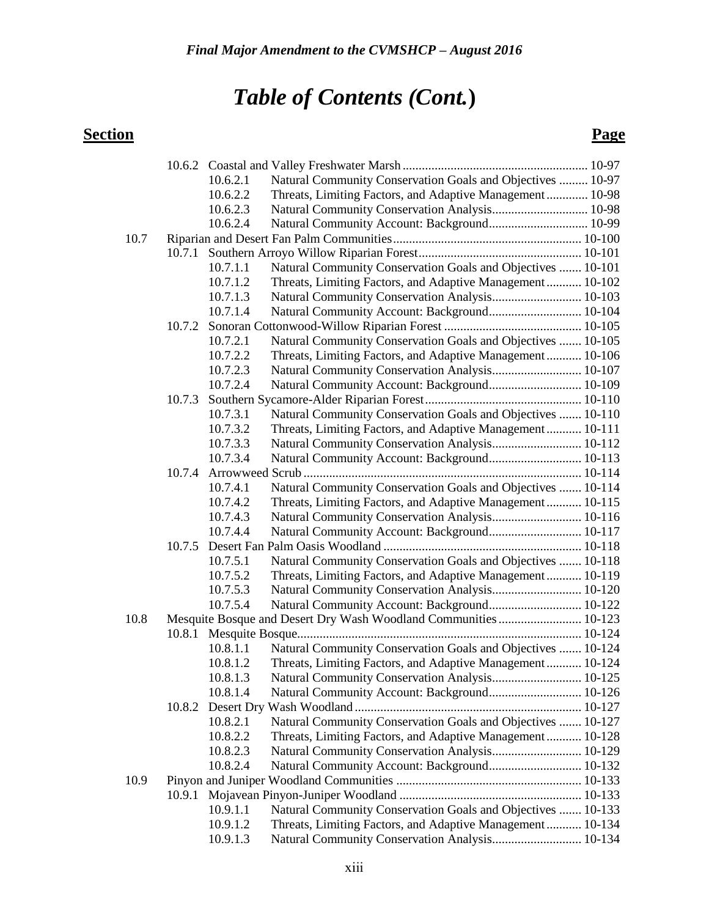| Natural Community Conservation Goals and Objectives  10-97<br>10.6.2.1<br>Threats, Limiting Factors, and Adaptive Management 10-98<br>10.6.2.2<br>Natural Community Conservation Analysis 10-98<br>10.6.2.3<br>Natural Community Account: Background 10-99<br>10.6.2.4<br>10.7<br>Natural Community Conservation Goals and Objectives  10-101<br>10.7.1.1<br>10.7.1.2<br>Threats, Limiting Factors, and Adaptive Management 10-102<br>Natural Community Conservation Analysis 10-103<br>10.7.1.3<br>Natural Community Account: Background 10-104<br>10.7.1.4<br>10.7.2<br>Natural Community Conservation Goals and Objectives  10-105<br>10.7.2.1<br>Threats, Limiting Factors, and Adaptive Management 10-106<br>10.7.2.2<br>Natural Community Conservation Analysis 10-107<br>10.7.2.3<br>10.7.2.4<br>Natural Community Account: Background 10-109<br>10.7.3<br>10.7.3.1<br>Natural Community Conservation Goals and Objectives  10-110<br>Threats, Limiting Factors, and Adaptive Management 10-111<br>10.7.3.2<br>Natural Community Conservation Analysis 10-112<br>10.7.3.3<br>Natural Community Account: Background 10-113<br>10.7.3.4<br>10.7.4<br>Natural Community Conservation Goals and Objectives  10-114<br>10.7.4.1<br>Threats, Limiting Factors, and Adaptive Management 10-115<br>10.7.4.2<br>Natural Community Conservation Analysis 10-116<br>10.7.4.3<br>Natural Community Account: Background 10-117<br>10.7.4.4<br>10.7.5<br>Natural Community Conservation Goals and Objectives  10-118<br>10.7.5.1<br>Threats, Limiting Factors, and Adaptive Management 10-119<br>10.7.5.2<br>Natural Community Conservation Analysis 10-120<br>10.7.5.3<br>Natural Community Account: Background 10-122<br>10.7.5.4<br>10.8<br>Natural Community Conservation Goals and Objectives  10-124<br>10.8.1.1<br>Threats, Limiting Factors, and Adaptive Management 10-124<br>10.8.1.2<br>Natural Community Conservation Analysis 10-125<br>10.8.1.3<br>10.8.1.4<br>Natural Community Account: Background 10-126<br>10.8.2<br>Natural Community Conservation Goals and Objectives  10-127<br>10.8.2.1<br>Threats, Limiting Factors, and Adaptive Management 10-128<br>10.8.2.2<br>Natural Community Conservation Analysis 10-129<br>10.8.2.3<br>Natural Community Account: Background 10-132<br>10.8.2.4<br>10.9<br>10.9.1 |  |  |  |  |  |  |
|------------------------------------------------------------------------------------------------------------------------------------------------------------------------------------------------------------------------------------------------------------------------------------------------------------------------------------------------------------------------------------------------------------------------------------------------------------------------------------------------------------------------------------------------------------------------------------------------------------------------------------------------------------------------------------------------------------------------------------------------------------------------------------------------------------------------------------------------------------------------------------------------------------------------------------------------------------------------------------------------------------------------------------------------------------------------------------------------------------------------------------------------------------------------------------------------------------------------------------------------------------------------------------------------------------------------------------------------------------------------------------------------------------------------------------------------------------------------------------------------------------------------------------------------------------------------------------------------------------------------------------------------------------------------------------------------------------------------------------------------------------------------------------------------------------------------------------------------------------------------------------------------------------------------------------------------------------------------------------------------------------------------------------------------------------------------------------------------------------------------------------------------------------------------------------------------------------------------------------------------------------------------------------------------------------------------------|--|--|--|--|--|--|
|                                                                                                                                                                                                                                                                                                                                                                                                                                                                                                                                                                                                                                                                                                                                                                                                                                                                                                                                                                                                                                                                                                                                                                                                                                                                                                                                                                                                                                                                                                                                                                                                                                                                                                                                                                                                                                                                                                                                                                                                                                                                                                                                                                                                                                                                                                                              |  |  |  |  |  |  |
|                                                                                                                                                                                                                                                                                                                                                                                                                                                                                                                                                                                                                                                                                                                                                                                                                                                                                                                                                                                                                                                                                                                                                                                                                                                                                                                                                                                                                                                                                                                                                                                                                                                                                                                                                                                                                                                                                                                                                                                                                                                                                                                                                                                                                                                                                                                              |  |  |  |  |  |  |
|                                                                                                                                                                                                                                                                                                                                                                                                                                                                                                                                                                                                                                                                                                                                                                                                                                                                                                                                                                                                                                                                                                                                                                                                                                                                                                                                                                                                                                                                                                                                                                                                                                                                                                                                                                                                                                                                                                                                                                                                                                                                                                                                                                                                                                                                                                                              |  |  |  |  |  |  |
|                                                                                                                                                                                                                                                                                                                                                                                                                                                                                                                                                                                                                                                                                                                                                                                                                                                                                                                                                                                                                                                                                                                                                                                                                                                                                                                                                                                                                                                                                                                                                                                                                                                                                                                                                                                                                                                                                                                                                                                                                                                                                                                                                                                                                                                                                                                              |  |  |  |  |  |  |
|                                                                                                                                                                                                                                                                                                                                                                                                                                                                                                                                                                                                                                                                                                                                                                                                                                                                                                                                                                                                                                                                                                                                                                                                                                                                                                                                                                                                                                                                                                                                                                                                                                                                                                                                                                                                                                                                                                                                                                                                                                                                                                                                                                                                                                                                                                                              |  |  |  |  |  |  |
|                                                                                                                                                                                                                                                                                                                                                                                                                                                                                                                                                                                                                                                                                                                                                                                                                                                                                                                                                                                                                                                                                                                                                                                                                                                                                                                                                                                                                                                                                                                                                                                                                                                                                                                                                                                                                                                                                                                                                                                                                                                                                                                                                                                                                                                                                                                              |  |  |  |  |  |  |
|                                                                                                                                                                                                                                                                                                                                                                                                                                                                                                                                                                                                                                                                                                                                                                                                                                                                                                                                                                                                                                                                                                                                                                                                                                                                                                                                                                                                                                                                                                                                                                                                                                                                                                                                                                                                                                                                                                                                                                                                                                                                                                                                                                                                                                                                                                                              |  |  |  |  |  |  |
|                                                                                                                                                                                                                                                                                                                                                                                                                                                                                                                                                                                                                                                                                                                                                                                                                                                                                                                                                                                                                                                                                                                                                                                                                                                                                                                                                                                                                                                                                                                                                                                                                                                                                                                                                                                                                                                                                                                                                                                                                                                                                                                                                                                                                                                                                                                              |  |  |  |  |  |  |
|                                                                                                                                                                                                                                                                                                                                                                                                                                                                                                                                                                                                                                                                                                                                                                                                                                                                                                                                                                                                                                                                                                                                                                                                                                                                                                                                                                                                                                                                                                                                                                                                                                                                                                                                                                                                                                                                                                                                                                                                                                                                                                                                                                                                                                                                                                                              |  |  |  |  |  |  |
|                                                                                                                                                                                                                                                                                                                                                                                                                                                                                                                                                                                                                                                                                                                                                                                                                                                                                                                                                                                                                                                                                                                                                                                                                                                                                                                                                                                                                                                                                                                                                                                                                                                                                                                                                                                                                                                                                                                                                                                                                                                                                                                                                                                                                                                                                                                              |  |  |  |  |  |  |
|                                                                                                                                                                                                                                                                                                                                                                                                                                                                                                                                                                                                                                                                                                                                                                                                                                                                                                                                                                                                                                                                                                                                                                                                                                                                                                                                                                                                                                                                                                                                                                                                                                                                                                                                                                                                                                                                                                                                                                                                                                                                                                                                                                                                                                                                                                                              |  |  |  |  |  |  |
|                                                                                                                                                                                                                                                                                                                                                                                                                                                                                                                                                                                                                                                                                                                                                                                                                                                                                                                                                                                                                                                                                                                                                                                                                                                                                                                                                                                                                                                                                                                                                                                                                                                                                                                                                                                                                                                                                                                                                                                                                                                                                                                                                                                                                                                                                                                              |  |  |  |  |  |  |
|                                                                                                                                                                                                                                                                                                                                                                                                                                                                                                                                                                                                                                                                                                                                                                                                                                                                                                                                                                                                                                                                                                                                                                                                                                                                                                                                                                                                                                                                                                                                                                                                                                                                                                                                                                                                                                                                                                                                                                                                                                                                                                                                                                                                                                                                                                                              |  |  |  |  |  |  |
|                                                                                                                                                                                                                                                                                                                                                                                                                                                                                                                                                                                                                                                                                                                                                                                                                                                                                                                                                                                                                                                                                                                                                                                                                                                                                                                                                                                                                                                                                                                                                                                                                                                                                                                                                                                                                                                                                                                                                                                                                                                                                                                                                                                                                                                                                                                              |  |  |  |  |  |  |
|                                                                                                                                                                                                                                                                                                                                                                                                                                                                                                                                                                                                                                                                                                                                                                                                                                                                                                                                                                                                                                                                                                                                                                                                                                                                                                                                                                                                                                                                                                                                                                                                                                                                                                                                                                                                                                                                                                                                                                                                                                                                                                                                                                                                                                                                                                                              |  |  |  |  |  |  |
|                                                                                                                                                                                                                                                                                                                                                                                                                                                                                                                                                                                                                                                                                                                                                                                                                                                                                                                                                                                                                                                                                                                                                                                                                                                                                                                                                                                                                                                                                                                                                                                                                                                                                                                                                                                                                                                                                                                                                                                                                                                                                                                                                                                                                                                                                                                              |  |  |  |  |  |  |
|                                                                                                                                                                                                                                                                                                                                                                                                                                                                                                                                                                                                                                                                                                                                                                                                                                                                                                                                                                                                                                                                                                                                                                                                                                                                                                                                                                                                                                                                                                                                                                                                                                                                                                                                                                                                                                                                                                                                                                                                                                                                                                                                                                                                                                                                                                                              |  |  |  |  |  |  |
|                                                                                                                                                                                                                                                                                                                                                                                                                                                                                                                                                                                                                                                                                                                                                                                                                                                                                                                                                                                                                                                                                                                                                                                                                                                                                                                                                                                                                                                                                                                                                                                                                                                                                                                                                                                                                                                                                                                                                                                                                                                                                                                                                                                                                                                                                                                              |  |  |  |  |  |  |
|                                                                                                                                                                                                                                                                                                                                                                                                                                                                                                                                                                                                                                                                                                                                                                                                                                                                                                                                                                                                                                                                                                                                                                                                                                                                                                                                                                                                                                                                                                                                                                                                                                                                                                                                                                                                                                                                                                                                                                                                                                                                                                                                                                                                                                                                                                                              |  |  |  |  |  |  |
|                                                                                                                                                                                                                                                                                                                                                                                                                                                                                                                                                                                                                                                                                                                                                                                                                                                                                                                                                                                                                                                                                                                                                                                                                                                                                                                                                                                                                                                                                                                                                                                                                                                                                                                                                                                                                                                                                                                                                                                                                                                                                                                                                                                                                                                                                                                              |  |  |  |  |  |  |
|                                                                                                                                                                                                                                                                                                                                                                                                                                                                                                                                                                                                                                                                                                                                                                                                                                                                                                                                                                                                                                                                                                                                                                                                                                                                                                                                                                                                                                                                                                                                                                                                                                                                                                                                                                                                                                                                                                                                                                                                                                                                                                                                                                                                                                                                                                                              |  |  |  |  |  |  |
|                                                                                                                                                                                                                                                                                                                                                                                                                                                                                                                                                                                                                                                                                                                                                                                                                                                                                                                                                                                                                                                                                                                                                                                                                                                                                                                                                                                                                                                                                                                                                                                                                                                                                                                                                                                                                                                                                                                                                                                                                                                                                                                                                                                                                                                                                                                              |  |  |  |  |  |  |
|                                                                                                                                                                                                                                                                                                                                                                                                                                                                                                                                                                                                                                                                                                                                                                                                                                                                                                                                                                                                                                                                                                                                                                                                                                                                                                                                                                                                                                                                                                                                                                                                                                                                                                                                                                                                                                                                                                                                                                                                                                                                                                                                                                                                                                                                                                                              |  |  |  |  |  |  |
|                                                                                                                                                                                                                                                                                                                                                                                                                                                                                                                                                                                                                                                                                                                                                                                                                                                                                                                                                                                                                                                                                                                                                                                                                                                                                                                                                                                                                                                                                                                                                                                                                                                                                                                                                                                                                                                                                                                                                                                                                                                                                                                                                                                                                                                                                                                              |  |  |  |  |  |  |
|                                                                                                                                                                                                                                                                                                                                                                                                                                                                                                                                                                                                                                                                                                                                                                                                                                                                                                                                                                                                                                                                                                                                                                                                                                                                                                                                                                                                                                                                                                                                                                                                                                                                                                                                                                                                                                                                                                                                                                                                                                                                                                                                                                                                                                                                                                                              |  |  |  |  |  |  |
|                                                                                                                                                                                                                                                                                                                                                                                                                                                                                                                                                                                                                                                                                                                                                                                                                                                                                                                                                                                                                                                                                                                                                                                                                                                                                                                                                                                                                                                                                                                                                                                                                                                                                                                                                                                                                                                                                                                                                                                                                                                                                                                                                                                                                                                                                                                              |  |  |  |  |  |  |
|                                                                                                                                                                                                                                                                                                                                                                                                                                                                                                                                                                                                                                                                                                                                                                                                                                                                                                                                                                                                                                                                                                                                                                                                                                                                                                                                                                                                                                                                                                                                                                                                                                                                                                                                                                                                                                                                                                                                                                                                                                                                                                                                                                                                                                                                                                                              |  |  |  |  |  |  |
|                                                                                                                                                                                                                                                                                                                                                                                                                                                                                                                                                                                                                                                                                                                                                                                                                                                                                                                                                                                                                                                                                                                                                                                                                                                                                                                                                                                                                                                                                                                                                                                                                                                                                                                                                                                                                                                                                                                                                                                                                                                                                                                                                                                                                                                                                                                              |  |  |  |  |  |  |
|                                                                                                                                                                                                                                                                                                                                                                                                                                                                                                                                                                                                                                                                                                                                                                                                                                                                                                                                                                                                                                                                                                                                                                                                                                                                                                                                                                                                                                                                                                                                                                                                                                                                                                                                                                                                                                                                                                                                                                                                                                                                                                                                                                                                                                                                                                                              |  |  |  |  |  |  |
|                                                                                                                                                                                                                                                                                                                                                                                                                                                                                                                                                                                                                                                                                                                                                                                                                                                                                                                                                                                                                                                                                                                                                                                                                                                                                                                                                                                                                                                                                                                                                                                                                                                                                                                                                                                                                                                                                                                                                                                                                                                                                                                                                                                                                                                                                                                              |  |  |  |  |  |  |
|                                                                                                                                                                                                                                                                                                                                                                                                                                                                                                                                                                                                                                                                                                                                                                                                                                                                                                                                                                                                                                                                                                                                                                                                                                                                                                                                                                                                                                                                                                                                                                                                                                                                                                                                                                                                                                                                                                                                                                                                                                                                                                                                                                                                                                                                                                                              |  |  |  |  |  |  |
|                                                                                                                                                                                                                                                                                                                                                                                                                                                                                                                                                                                                                                                                                                                                                                                                                                                                                                                                                                                                                                                                                                                                                                                                                                                                                                                                                                                                                                                                                                                                                                                                                                                                                                                                                                                                                                                                                                                                                                                                                                                                                                                                                                                                                                                                                                                              |  |  |  |  |  |  |
|                                                                                                                                                                                                                                                                                                                                                                                                                                                                                                                                                                                                                                                                                                                                                                                                                                                                                                                                                                                                                                                                                                                                                                                                                                                                                                                                                                                                                                                                                                                                                                                                                                                                                                                                                                                                                                                                                                                                                                                                                                                                                                                                                                                                                                                                                                                              |  |  |  |  |  |  |
|                                                                                                                                                                                                                                                                                                                                                                                                                                                                                                                                                                                                                                                                                                                                                                                                                                                                                                                                                                                                                                                                                                                                                                                                                                                                                                                                                                                                                                                                                                                                                                                                                                                                                                                                                                                                                                                                                                                                                                                                                                                                                                                                                                                                                                                                                                                              |  |  |  |  |  |  |
|                                                                                                                                                                                                                                                                                                                                                                                                                                                                                                                                                                                                                                                                                                                                                                                                                                                                                                                                                                                                                                                                                                                                                                                                                                                                                                                                                                                                                                                                                                                                                                                                                                                                                                                                                                                                                                                                                                                                                                                                                                                                                                                                                                                                                                                                                                                              |  |  |  |  |  |  |
|                                                                                                                                                                                                                                                                                                                                                                                                                                                                                                                                                                                                                                                                                                                                                                                                                                                                                                                                                                                                                                                                                                                                                                                                                                                                                                                                                                                                                                                                                                                                                                                                                                                                                                                                                                                                                                                                                                                                                                                                                                                                                                                                                                                                                                                                                                                              |  |  |  |  |  |  |
|                                                                                                                                                                                                                                                                                                                                                                                                                                                                                                                                                                                                                                                                                                                                                                                                                                                                                                                                                                                                                                                                                                                                                                                                                                                                                                                                                                                                                                                                                                                                                                                                                                                                                                                                                                                                                                                                                                                                                                                                                                                                                                                                                                                                                                                                                                                              |  |  |  |  |  |  |
|                                                                                                                                                                                                                                                                                                                                                                                                                                                                                                                                                                                                                                                                                                                                                                                                                                                                                                                                                                                                                                                                                                                                                                                                                                                                                                                                                                                                                                                                                                                                                                                                                                                                                                                                                                                                                                                                                                                                                                                                                                                                                                                                                                                                                                                                                                                              |  |  |  |  |  |  |
|                                                                                                                                                                                                                                                                                                                                                                                                                                                                                                                                                                                                                                                                                                                                                                                                                                                                                                                                                                                                                                                                                                                                                                                                                                                                                                                                                                                                                                                                                                                                                                                                                                                                                                                                                                                                                                                                                                                                                                                                                                                                                                                                                                                                                                                                                                                              |  |  |  |  |  |  |
|                                                                                                                                                                                                                                                                                                                                                                                                                                                                                                                                                                                                                                                                                                                                                                                                                                                                                                                                                                                                                                                                                                                                                                                                                                                                                                                                                                                                                                                                                                                                                                                                                                                                                                                                                                                                                                                                                                                                                                                                                                                                                                                                                                                                                                                                                                                              |  |  |  |  |  |  |
|                                                                                                                                                                                                                                                                                                                                                                                                                                                                                                                                                                                                                                                                                                                                                                                                                                                                                                                                                                                                                                                                                                                                                                                                                                                                                                                                                                                                                                                                                                                                                                                                                                                                                                                                                                                                                                                                                                                                                                                                                                                                                                                                                                                                                                                                                                                              |  |  |  |  |  |  |
|                                                                                                                                                                                                                                                                                                                                                                                                                                                                                                                                                                                                                                                                                                                                                                                                                                                                                                                                                                                                                                                                                                                                                                                                                                                                                                                                                                                                                                                                                                                                                                                                                                                                                                                                                                                                                                                                                                                                                                                                                                                                                                                                                                                                                                                                                                                              |  |  |  |  |  |  |
| 10.9.1.1<br>Natural Community Conservation Goals and Objectives  10-133                                                                                                                                                                                                                                                                                                                                                                                                                                                                                                                                                                                                                                                                                                                                                                                                                                                                                                                                                                                                                                                                                                                                                                                                                                                                                                                                                                                                                                                                                                                                                                                                                                                                                                                                                                                                                                                                                                                                                                                                                                                                                                                                                                                                                                                      |  |  |  |  |  |  |
| 10.9.1.2<br>Threats, Limiting Factors, and Adaptive Management 10-134                                                                                                                                                                                                                                                                                                                                                                                                                                                                                                                                                                                                                                                                                                                                                                                                                                                                                                                                                                                                                                                                                                                                                                                                                                                                                                                                                                                                                                                                                                                                                                                                                                                                                                                                                                                                                                                                                                                                                                                                                                                                                                                                                                                                                                                        |  |  |  |  |  |  |
| Natural Community Conservation Analysis 10-134<br>10.9.1.3                                                                                                                                                                                                                                                                                                                                                                                                                                                                                                                                                                                                                                                                                                                                                                                                                                                                                                                                                                                                                                                                                                                                                                                                                                                                                                                                                                                                                                                                                                                                                                                                                                                                                                                                                                                                                                                                                                                                                                                                                                                                                                                                                                                                                                                                   |  |  |  |  |  |  |